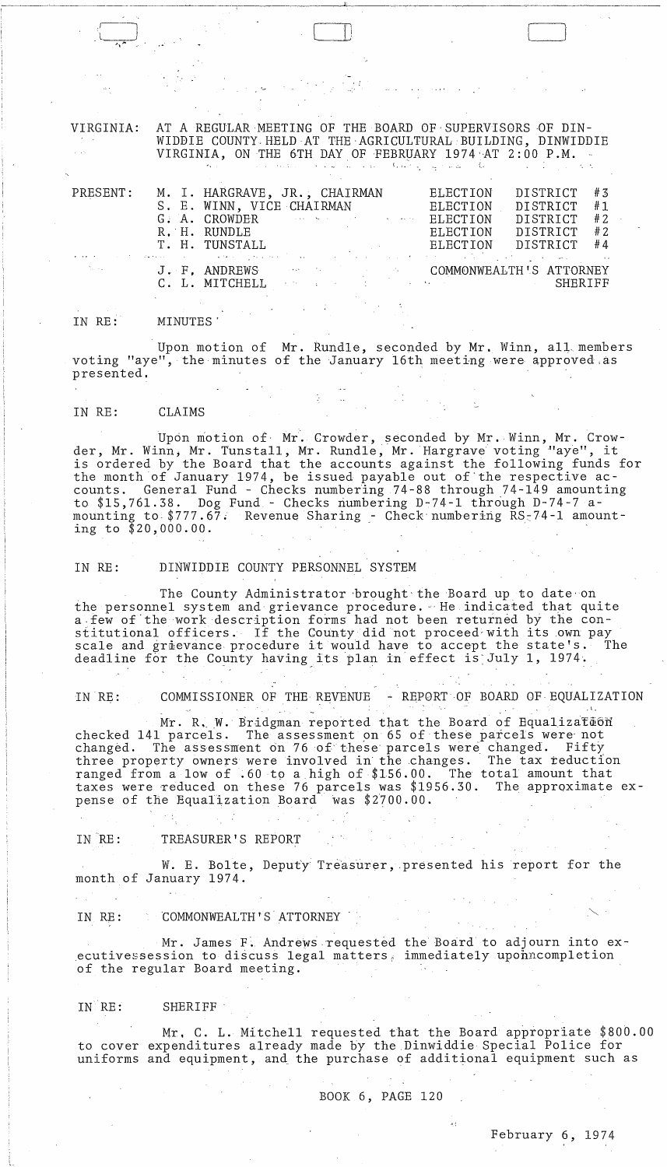VIRGINIA: AT A REGULAR MEETING OF THE BOARD OF SUPERVISORS OF DIN-WIDDIE COUNTY. HELD AT THE ,AGRICULTURAL BUILDING, DINWIDDIE VIRGINIA, ON THE 6TH DAY OF FEBRUARY 1974 AT 2:00 P.M.

J:

 $\bigl[$ 

| PRESENT:                                                                                                                                                                                                   | M. I. HARGRAVE, JR., CHAIRMAN<br>G. A. CROWDER And the second control of the second state of the second state of the second state of the second state of the second state of the second state of the second state of the second state of the second state of th<br>R, H. RUNDLE |  | ELECTION<br>S. E. WINN, VICE CHAIRMAN ELECTION<br>ELECTION<br>ELECTION | DISTRICT<br>DISTRICT<br>DISTRICT<br>DISTRICT<br>T. H. TUNSTALL BELECTION DISTRICT #4<br>್ಲಿ ಸಂಪೂರ್ಣ ಮಾಡಿದ್ದಾರೆ. ಕಾರ್ಯಾಂಡಿಯಾಗಿ ಮಾಡಿದ್ದಾರೆ. ಈ ಸಂಪೂರ್ಣ ಸಂಪೂರ್ಣ ಸಂಪೂರ್ಣ ಮಾಡಿದ್ದಾರೆ.<br>ಈ ಅಂತರ ಸಂಪೂರ್ಣ ಸಂಪೂರ್ಣ ಸಂಪೂರ್ಣ ಮಾಡಿದ್ದಾರೆ. ಈ ಸಂಪೂರ್ಣ ಸಂಪೂರ್ಣ ಸಂಪೂರ್ಣ ಸಂಪೂರ್ಣ ಸಂಪೂರ್ಣ ಸಂಪೂರ್ಣ ಸಂಪೂರ್ಣ ಸಂಪೂರ್ಣ ಅ | #3<br>#1<br>#2<br>#2 |
|------------------------------------------------------------------------------------------------------------------------------------------------------------------------------------------------------------|---------------------------------------------------------------------------------------------------------------------------------------------------------------------------------------------------------------------------------------------------------------------------------|--|------------------------------------------------------------------------|---------------------------------------------------------------------------------------------------------------------------------------------------------------------------------------------------------------------------------------------------------------------------------------------------|----------------------|
| $\sum_{\mathbf{p} \in \mathcal{P}} \mathbb{E}_{\mathbf{p}} \left[ \mathbb{E}_{\mathbf{p}} \left[ \mathbb{E}_{\mathbf{p}} \right] \right] = \mathbb{E}_{\mathbf{p}} \left[ \mathbb{E}_{\mathbf{p}} \right]$ |                                                                                                                                                                                                                                                                                 |  |                                                                        | J. F. ANDREWS COMMONWEALTH'S ATTORNEY<br>C. L. MITCHELL COMMUNISTIES COMMUNISTIES INTOXINED                                                                                                                                                                                                       |                      |

# IN RE: MINUTES'

 $\bigodot$ . **",'"** 

Upon motion of Mr. Rundle, seconded by Mr. Winn, all" members voting "aye", the minutes of the January 16th meeting were approved.as presented.

#### IN RE: CLAIMS

Upon motion of Mr. Crowder, seconded by Mr. Winn, Mr. Crowder, Mr. Winn, Mr. Tunstall, Mr. Rundle, Mr. Hargrave voting "aye", it is ordered by the Board that the accounts against the following funds for the month of January 1974, be issued payable out of'the respective accounts. General Fund - Checks numbering 74-88 through 74-149 amounting to \$15,761.38. Dog Fund - Checks riumbering D-74-l through D-74-7 amounting to  $$777.67$ . Revenue Sharing - Check numbering RS $<sub>74</sub>$ -1 amount-</sub> ing to \$20,000.00.

# IN RE: DINWIDDIE COUNTY PERSONNEL SYSTEM

The County Administrator brought the Board up to date on the personnel system and grievance procedure. He indicated that quite a few of the work description forms had not been returned by the constitutional officers. If the County did not proceed with its own pay<br>scale and graevance procedure it would have to accept the state's. The scale and grievance procedure it would have to accept the state's. deadline for the County having its plan in effect is July 1, 1974.

IN RE: COMMISSIONER OF THE REVENUE - REPORT OF BOARD OF EQUALIZATION

Mr. R. W. Bridgman reported that the Board of Equalization checked 141 parcels. The assessment on 65 of these parcels were not changed. The assessment on 76 of these parcels were changed. Fifty three property owners were involved in the changes. The tax reduction ranged from a low of .60 to a high of \$156.00. The total amount that taxes were reduced on these 76 parcels was  $$1956.30.$ pense of the Equalization Board' was \$2100.00.

# IN RE: TREASURER'S REPORT

W. E. Bolte, Deputy Treasurer, presented his report for the month of January 1974.

# IN RE: COMMONWEALTH'S ATTORNEY

Mr. James F. Andrews Tequested the Board to adjourn into executivessession to discuss legal matters, immediately uponncompletion of the regular Board meeting.

# IN RE: SHERIFF

Mr. C. L. Mitchell requested that the Board appropriate  $$800.00$ to cover expenditures already made by the ,Dinwiddie Special Police for uniforms and equipment, and the purchase of additional equipment such as

 $\mathcal{A}=\mathcal{A}$ 

 $\sim 10^{-10}$ 

 $\label{eq:2.1} \frac{1}{2} \left( \frac{1}{2} \right)^2 \left( \frac{1}{2} \right)^2 \left( \frac{1}{2} \right)^2$ BOOK 6, PAGE 120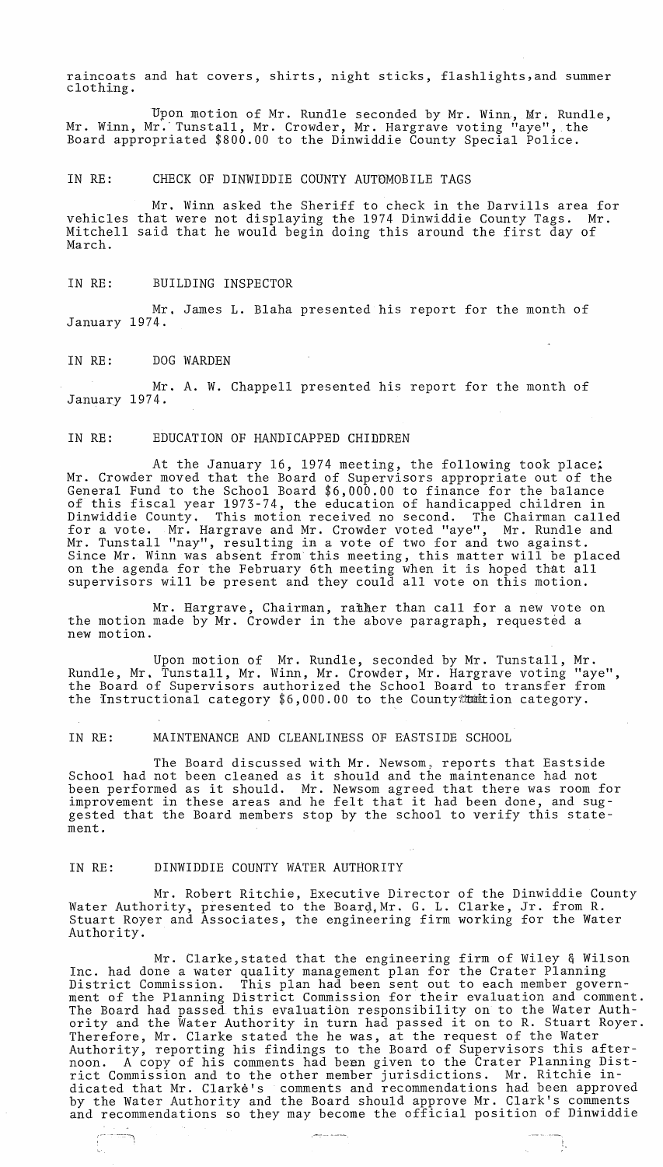raincoats and hat covers, shirts, night sticks, flashlights,and summer clothing.

Upon motion of Mr. Rundle seconded by Mr. Winn, Mr. Rundle, Mr. Winn, Mr. Tunstall, Mr. Crowder, Mr. Hargrave voting "aye", the Board appropriated \$800.00 to the Dinwiddie County Special Police.

# IN RE: CHECK OF DINWIDDIE COUNTY AUTDMOBILE TAGS

Mr. Winn asked the Sheriff to check in the Darvills area for vehicles that were not displaying the 1974 Dinwiddie County Tags. Mr. voiletes that were her droptaying the 1974 binwidate county rags. The<br>Mitchell said that he would begin doing this around the first day of March.

#### IN RE: BUILDING INSPECTOR

Mr. James L. Blaha presented his report for the month of January 1974.

#### IN RE: DOG WARDEN

Mr. A. W. Chappell presented his report for the month of January 1974.

#### IN RE: EDUCATION OF HANDICAPPED CHIDDREN

At the January 16, 1974 meeting, the following took place; Mr. Crowder moved that the Board of Supervisors appropriate out of the General Fund to the School Board \$6,000.00 to finance for the balance of this fiscal year 1973-74, the education of handicapped children in Dinwiddie County. This motion received no second. The Chairman called for a vote. Mr. Hargrave and Mr. Crowder voted "aye", Mr. Rundle and Mr. Tunstall "nay", resulting in a vote of two for and two against. Since Mr. Winn was absent from this meeting, this matter will be placed on the agenda for the February 6th meeting when it is hoped that all supervisors will be present and they could all vote on this motion.

Mr. Hargrave, Chairman, rather than call for a new vote on the motion made by Mr. Crowder in the above paragraph, requested a new motion.

Upon motion of Mr. Rundle, seconded by Mr. Tunstall, Mr. Rundle, Mr. Tunstall, Mr. Winn, Mr. Crowder, Mr. Hargrave voting "aye", the Board of Supervisors authorized the School Board to transfer from the Instructional category  $$6,000.00$  to the County inition category.

### IN RE: MAINTENANCE AND CLEANLINESS OF EASTSIDE SCHOOL

The Board discussed with Mr. Newsom, reports that Eastside School had not been cleaned as it should and the maintenance had not been performed as it should. Mr. Newsom agreed that there was room for improvement in these areas and he felt that it had been done, and suggested that the Board members stop by the school to verify this statement.

### IN RE: DINWIDDIE COUNTY WATER AUTHORITY

Mr. Robert Ritchie, Executive Director of the Dinwiddie County Water Authority, presented to the Board, Mr. G. L. Clarke, Jr. from R. Stuart Royer and Associates, the engineering firm working for the Water Authority.

Mr. Clarke,stated that the engineering firm of Wiley & Wilson Inc. had done a water quality management plan for the Crater Planning District Commission. This plan had been sent out to each member government of the Planning District Commission for their evaluation and comment. The Board had passed this evaluation responsibility on to the Water Authority and the Water Authority in turn had passed it on to R. Stuart Royer. Therefore, Mr. Clarke stated the he was, at the request of the Water Authority, reporting his findings to the Board of Supervisors this afternoon. A copy of his comments had been given to the Crater Planning Distnoon. A copy of his comments had been given to the crater rianning bis dicated that Mr. Clarke's comments and recommendations had been approved by the Water Authority and the Board should approve Mr. Clark's comments and recommendations so they may become the official position of Dinwiddie ,-- --: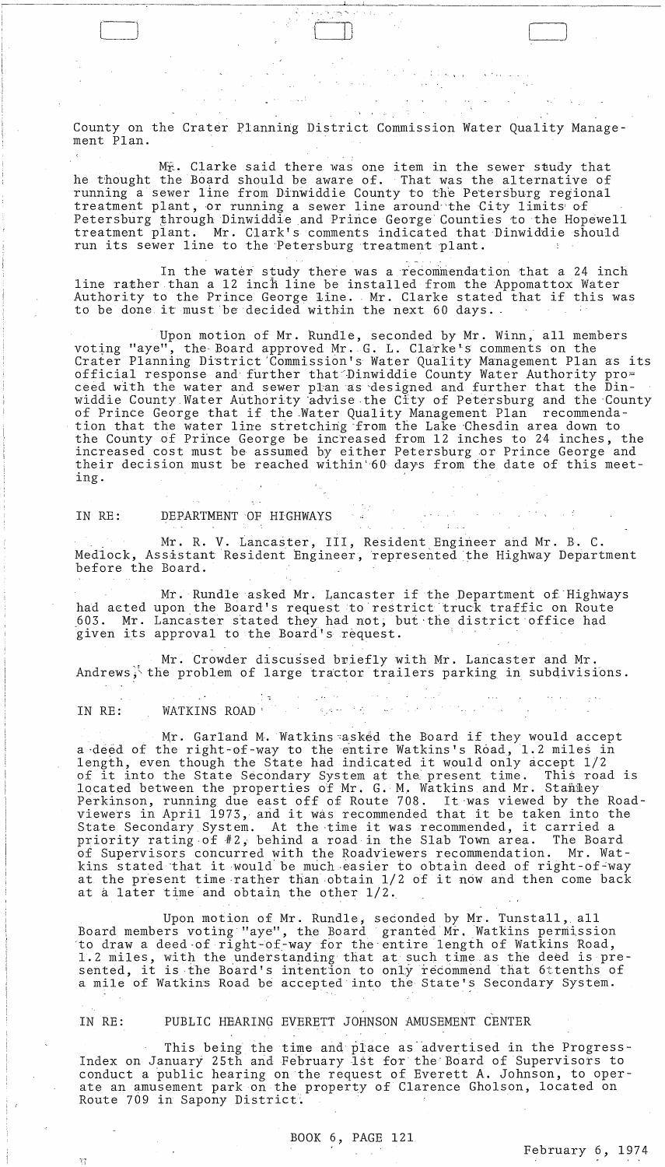County on the Crater Planning District Commission Water Quality Management Plan.

, I

Mr. Clarke said there was one item in the sewer study that he thought the Board should be aware of. That was the alternative of running a sewer line from Dinwiddie County to the Petersburg regional treatment plant, or running a sewer line around the City limits of Petersburg through Dinwiddie and Prince George Counties to the Hopewell treatment plant. Mr. Glark's comments indicated that Dinwiddie should run its sewer line to the Petersburg treatment plant.

In the water study there was a recommendation that a 24 inch line rather than a 12 inch line be installed from the Appomattox Water Authority to the Prince George line. Mr. Clarke stated that if this was to be done it must be decided within the next 60 days.

Upon motion of Mr. Rundle, seconded by Mr. Winn, all members voting "aye", the Board approved Mr. G. L. Clarke's comments on the Crater Planning District 'Commission's Water Quality Management Plan as its official response and further that Dinwiddie County Water Authority proceed with the water and sewer pl'anas "designed and further that the Dinwiddie County Water Authority advise the City of Petersburg and the County of Prince George that if the.Water Quality Management Plan recommendation that the water line stretching 'from the Lake 'Ghesdin area down to the County of Prince George be increased from 12 inches to 24 inches, the increased cost must be assumed by either Petersburg .or Prince George and their decision must be reached within 60 days from the date of this meeting.

# IN RE: DEPARTMENT OF HIGHWAYS

. Mr. R. V. Lancaster, III, Resident Engineer and Mr. B. C. Medlock, Assistant Resident Engineer, represented the Highway Department before the Board.

Mr. Rundle asked Mr. Lancaster if the Department of'Highways had acted upon the Board's request to restrict truck traffic on Route 603. Mr. Lancaster stated they had not, but the district office had given its approval to the Board's request.

Mr. Crowder discussed briefly with Mr. Lancaster and Mr. Andrews, the problem of large tractor trailers parking in subdivisions.

IN RE: WATKINS ROAD<sup>: 1</sup> and 1 and 1 and 1 and 1 and 1 and 1 and 1 and 1 and 1 and 1 and 1 and 1 and 1 and 1 and 1 and 1 and 1 and 1 and 1 and 1 and 1 and 1 and 1 and 1 and 1 and 1 and 1 and 1 and 1 and 1 and 1 and 1 and 1

Mr. Garland M. Watkins~asked the Board if they would accept a deed of the right-of-way to the entire Watkins's Road, 1.2 miles in length, even though the State had indicated it would only accept 1/2 ingth, even though the state had indicated it would only accept 1/2<br>of it into the State Secondary System at the present time. This road is located between the properties of Mr. G. M. Watkins and Mr. Stammey Perkinson, running due east off of Route 708. It 'was viewed by the Roadviewers in April 1973, and it was recommended that it be taken into the State Secondary System. At the ·time it was recommended, it carried a priority rating·of#2, behind a road in the Slab Town area. The Board of Supervisors concurred with the Roadviewers recommendation. Mr. Wator supervisors concurred with the koadviewers recommendation. Mr. wat-<br>kins stated that it would be much easier to obtain deed of right-of-way kins stated that it would be much easier to obtain deed of right-or-way<br>at the present time rather than obtain 1/2 of it now and then come back at a later time and obtain the other  $1/2$ .

Upon motion of Mr. Rundle, seconded by Mr. Tunstall, all Board members voting "aye", the Board granted Mr. Watkins permission ·to draw a deed -of right -of-way for the' entire length of Watkins Road, 1.2 miles, with the understanding that at such time as the deed is presented, it is the Board's intention to only recommend that 6'ttenths of a mile of Watkins Road be accepted into the State's Secondary System.

V,

i *r* 

# IN RE: PUBLIC HEARING EVERETT JOHNSON AMUSEMENT CENTER

This being the time and place as advertised in the Progress-Index on January 25th and February 1st for the Board of Supervisors to conduct a public hearing on the request of Everett A. Johnson, to operate an amusement park on the property of Clarence Gholson, located on Route 709 in Sapony District.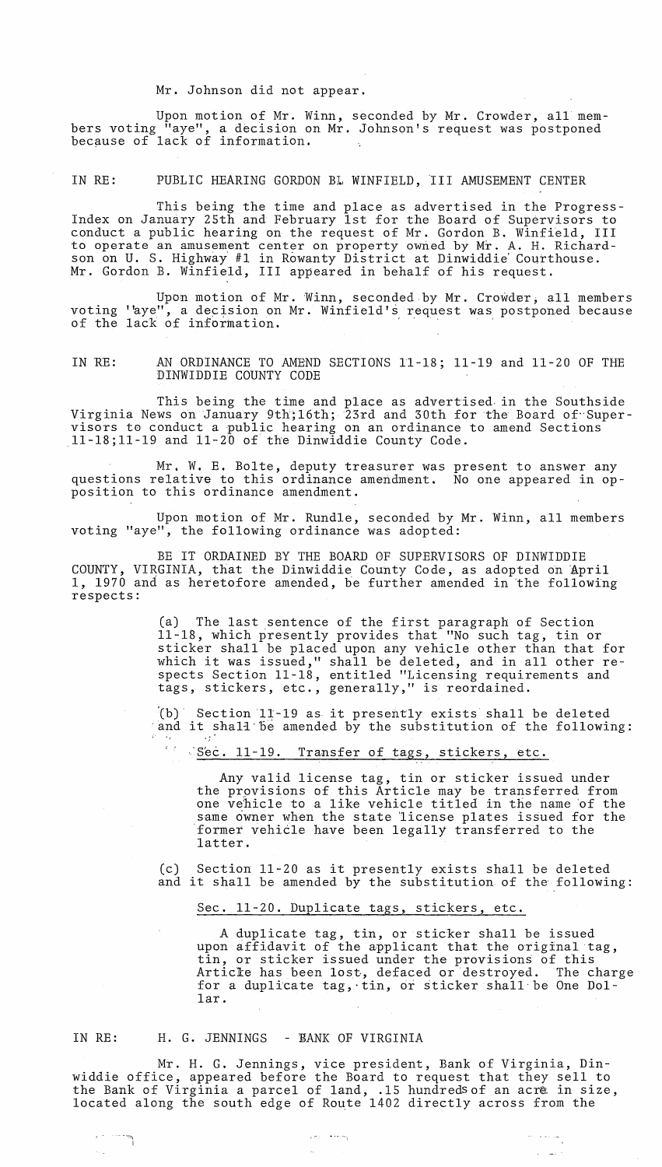Mr. Johnson did not appear.

Upon motion of Mr. Winn, seconded by Mr. Crowder, all members voting "aye", a decision on Mr. Johnson's request was postponed because of lack of information.

IN RE: PUBLIC HEARING GORDON BL WINFIELD, III AMUSEMENT CENTER

This being the time and place as advertised in the Progress-Index on January 25th and February 1st for the Board of Supervisors to conduct a public hearing on the request of Mr. Gordon B. Winfield, III to operate an amusement center on property owned by Mr. A. H. Richardson on U. s. Highway' #1 in Rowanty District at Dinwiddie' Courthouse. Mr. Gordon B. Winfield, III appeared in behalf of his request.

Upon motion of Mr. 'Winn, seconded by Mr. Crowder; all members voting 'aye", a decision on Mr. Winfield's request was postponed because of the lack of information.

IN'RE: AN ORDINANCE TO AMEND SECTIONS 11-18; 11-19 and 11-20 OF THE DINWIDDIE COUNTY CODE

This being the time and place as advertised, in the Southside Virginia News on January 9th; 16th; 23rd and 30th for the Board of Supervisors to conduct a public hearing on an ordinance to amend Sections 11-18;11-19 and 11-20 of the Dinwiddie County Code.

Mr. W. E. Bolte, deputy treasurer was present to answer any questions relative to this ordinance amendment. No one appeared in opposition to this ordinance amendment.

Upon motion of Mr. Rundle, seconded by Mr. Winn, all members voting "aye", the following ordinance was adopted:

BE IT ORDAINED BY THE BOARD OF SUPERVISORS OF DINWIDDIE COUNTY, VIRGINIA, that the Dinwiddie County Code, as adopted on 'April 1, 1970 and as heretofore amended, be further amended in 'the following respects:

> Ca) The last sentence of the first paragraph of Section 11-18, which presently provides that "No such tag, tin or sticker shall be placed upon any vehicle other than that for sticker sharr be praced upon any venicle other than that for<br>which it was issued," shall be deleted, and in all other respects Section 11-18, entitled "Licensing requirements and tags, stickers, etc., generally," is reordained.

> $(b)$  Section 11-19 as it presently exists shall be deleted and it shall be amended by the substitution of the following:

8' Sec. 11-19. Transfer of tags, stickers, etc.

Any valid license tag, tin or sticker issued under the prpvisions of this Article may be transferred from one vehicle to a like vehicle titled in the name of the same owner when the state license plates issued for the former vehicle have been legally transferred to the latter.

(c) Section 11-20 as it presently exists shall be deleted and it shall be amended by the substitution of the following:

Sec. 11-20. Duplicate tags, stickers, etc.

A duplicate tag, tin, or sticker shall be issued upon affidavit of the applicant that the original tag, tin, or sticker issued under the provisions of this Article has been lost, defaced or destroyed. The charge for a duplicate tag, tin, or sticker shall be One Dollar.

 $\Delta \sim 100$ 

IN RE:

# H. G. JENNINGS - RANK OF VIRGINIA

Mr. H. G. Jennings, vice president, Bank of Virginia, Dinwiddie office, appeared before the Board to request that they sell to the Bank of Virginia a parcel of land, .15 hundreds of an acre in size, located along the south edge of Route 1402 directly across from the

 $\alpha$  mass of the energy  $\alpha$ 

 $\mathcal{L}_{\mathbf{a}}$  .

.<br>.<br>|

 $\sim$  .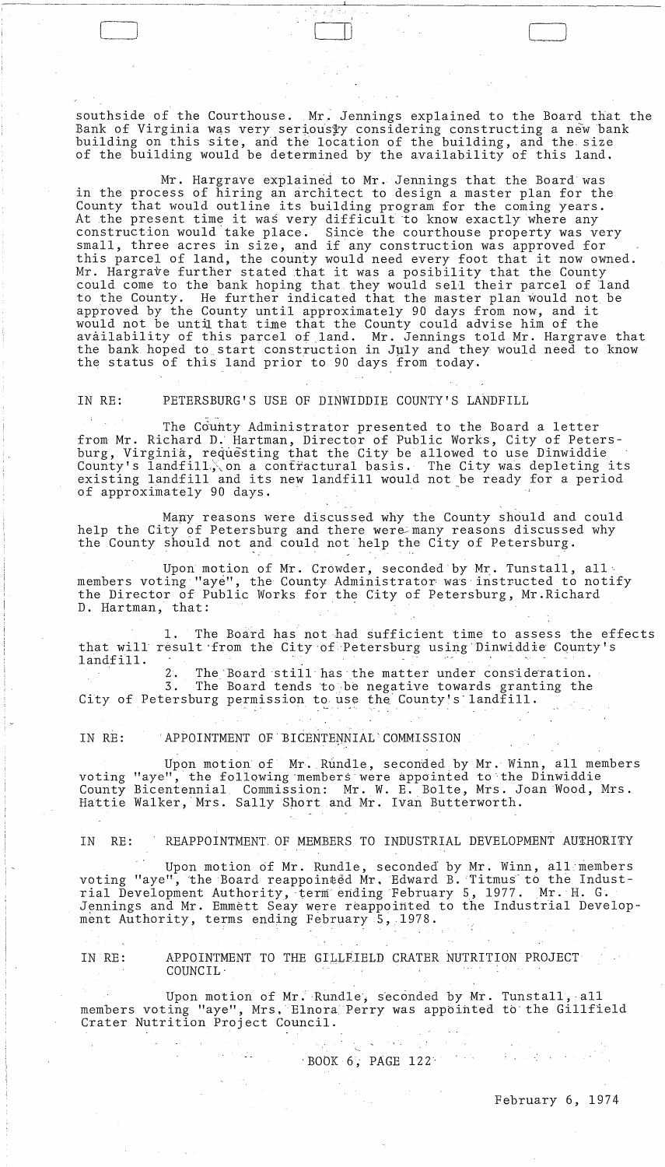southside of the Courthouse. Mr, Jennings explained to the Board that the Bank of Virginia was very serious\$y considering constructing a new bank building on this site, and the location of the building, and the size of the building would be determined by the availability of this land.

 $\begin{pmatrix} 1 & 1 & 1 \\ 1 & 1 & 1 \\ 1 & 1 & 1 \end{pmatrix}$ 

Mr. Hargrave explained to Mr. Jennings that the Board was in the process of hiring an architect to design a master plan for the County that would outline its building program for the coming years. At the present time it was very difficult to know exactly where any construction would take place. Since the courthouse property was very small, three acres in size, and if any construction was approved for this parcel of land, the county would need every foot that it now owned. Mr. Hargrave further stated that it was a posibility that the County could come to the bank hoping that they would sell their parcel of land to the County. He further indicated that the master plan would not be appioved by the County until approximately 90 days from now, and it would not be until that time that the County could advise him of the availability of this parcel of land. Mr. Jennings told Mr. Hargrave that the bank hoped to start construction in July and they would need to know the status of this land prior to 90 days from today.

IN RE: PETERSBURG'S USE OF DINWIDDIE COUNTY'S LANDFILL

The County Administrator presented to the Board a letter from Mr. Richard D.' Hartman, Director of Public Works, City of Petersburg, Virginia, requesting that the City be allowed to use Dinwiddie County's landfill, on a contractural basis. The City was depleting its existing landfill and its new landfill would not be ready for a period of approximately 90 days.

Many reasons were discussed why the County should and could help the City of Petersburg and there were many reasons discussed why the County should not and could not help the City of Petersburg.

Upon motion of Mr. Crowder, seconded by Mr. Tunstall, all, members voting "aye", the County Administrator: was'instructed to notify the Director of Public Works for the City of Petersburg, Mr.Richard D. Hartman, that:

**1.** The Board has not-had sufficient time to assess the effects that will result from the City of Petersburg using Dinwiddie County's landfill.

2. The Board still has the matter under consideration.<br>3. The Board tends to be negative towards granting the The Board tends to be negative towards granting the City of Petersburg permission to use the County's landfill.

IN RE: APPOINTMENT OF BICENTENNIAL COMMISSION

 $\sim 10^{10}$  and  $\sim 200$ 

Upon motion of Mr. Rundle, seconded by Mr. Winn, all members voting "aye", the following members were appointed to the Dinwiddie County Bicentennial Commission: Mr. W. E. Bolte, Mrs. Joan Wood, Mrs. Hattie Walker, Mrs. Sally Short and Mr. Ivan Butterworth.

IN RE: REAPPOINTMENT OF MEMBERS TO INDUSTRIAL DEVELOPMENT AUTHORITY

Upon motion of Mr. Rundle, seconded' by Mr. Winn, alL-members voting "aye", the Board reappointed Mr. Edward B. Titmus to the Industrial Development Authority, term ending February 5, 1977. Mr. H. G. Jennings and Mr. Emmett Seay were reappointed to the Industrial Development Authority, terms ending February 5, 1978.

IN RE: APPOINTMENT TO THE GILLEIELD CRATER NUTRITION PROJECT COUNCIL·

Upon motion of Mr. Rundle, seconded by Mr. Tunstall, all members voting "aye", Mrs. Elnora Perry was appointed to the Gillfield Crater Nutrition Project Council.

*-BOOK* 6; PAGE 122'

 $\label{eq:2} \frac{1}{\sqrt{2\pi}}\int_{\mathbb{R}^3}\frac{1}{\sqrt{2\pi}}\left(\frac{1}{\sqrt{2\pi}}\right)^2\frac{1}{\sqrt{2\pi}}\frac{1}{\sqrt{2\pi}}\frac{1}{\sqrt{2\pi}}\frac{1}{\sqrt{2\pi}}\frac{1}{\sqrt{2\pi}}\frac{1}{\sqrt{2\pi}}\frac{1}{\sqrt{2\pi}}\frac{1}{\sqrt{2\pi}}\frac{1}{\sqrt{2\pi}}\frac{1}{\sqrt{2\pi}}\frac{1}{\sqrt{2\pi}}\frac{1}{\sqrt{2\pi}}\frac{1}{\sqrt{2\pi}}\frac{1$ 

February 6, 1974